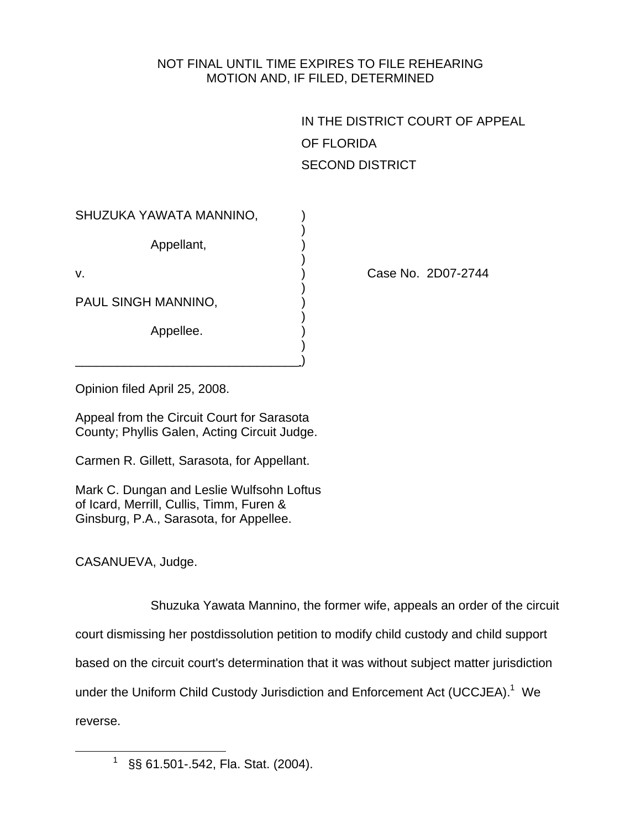## NOT FINAL UNTIL TIME EXPIRES TO FILE REHEARING MOTION AND, IF FILED, DETERMINED

| IN THE DISTRICT COURT OF APPEAL |
|---------------------------------|
| OF FLORIDA                      |
| <b>SECOND DISTRICT</b>          |

| SHUZUKA YAWATA MANNINO, |  |
|-------------------------|--|
| Appellant,              |  |
| V.                      |  |
| PAUL SINGH MANNINO,     |  |
| Appellee.               |  |
|                         |  |

Case No. 2D07-2744

Opinion filed April 25, 2008.

Appeal from the Circuit Court for Sarasota County; Phyllis Galen, Acting Circuit Judge.

Carmen R. Gillett, Sarasota, for Appellant.

Mark C. Dungan and Leslie Wulfsohn Loftus of Icard, Merrill, Cullis, Timm, Furen & Ginsburg, P.A., Sarasota, for Appellee.

CASANUEVA, Judge.

 Shuzuka Yawata Mannino, the former wife, appeals an order of the circuit court dismissing her postdissolution petition to modify child custody and child support based on the circuit court's determination that it was without subject matter jurisdiction under the Uniform Child Custody Jurisdiction and Enforcement Act (UCCJEA).<sup>1</sup> We reverse.

 $\frac{1}{1}$ §§ 61.501-.542, Fla. Stat. (2004).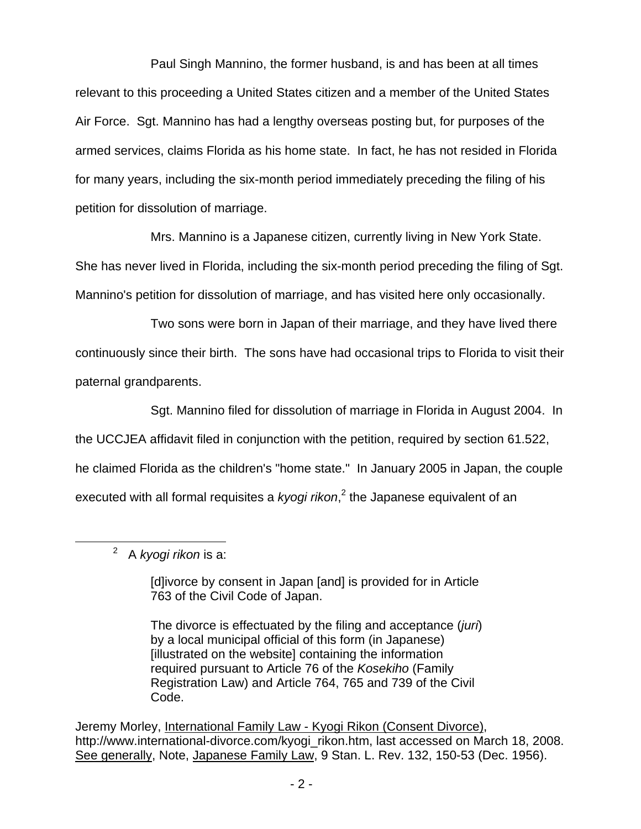Paul Singh Mannino, the former husband, is and has been at all times relevant to this proceeding a United States citizen and a member of the United States Air Force. Sgt. Mannino has had a lengthy overseas posting but, for purposes of the armed services, claims Florida as his home state. In fact, he has not resided in Florida for many years, including the six-month period immediately preceding the filing of his petition for dissolution of marriage.

 Mrs. Mannino is a Japanese citizen, currently living in New York State. She has never lived in Florida, including the six-month period preceding the filing of Sgt. Mannino's petition for dissolution of marriage, and has visited here only occasionally.

 Two sons were born in Japan of their marriage, and they have lived there continuously since their birth. The sons have had occasional trips to Florida to visit their paternal grandparents.

 Sgt. Mannino filed for dissolution of marriage in Florida in August 2004. In the UCCJEA affidavit filed in conjunction with the petition, required by section 61.522, he claimed Florida as the children's "home state." In January 2005 in Japan, the couple executed with all formal requisites a *kyogi rikon*, 2 the Japanese equivalent of an

 $\frac{1}{2}$ A *kyogi rikon* is a:

> [d]ivorce by consent in Japan [and] is provided for in Article 763 of the Civil Code of Japan.

> The divorce is effectuated by the filing and acceptance (*juri*) by a local municipal official of this form (in Japanese) [illustrated on the website] containing the information required pursuant to Article 76 of the *Kosekiho* (Family Registration Law) and Article 764, 765 and 739 of the Civil Code.

Jeremy Morley, International Family Law - Kyogi Rikon (Consent Divorce), http://www.international-divorce.com/kyogi\_rikon.htm, last accessed on March 18, 2008. See generally, Note, Japanese Family Law, 9 Stan. L. Rev. 132, 150-53 (Dec. 1956).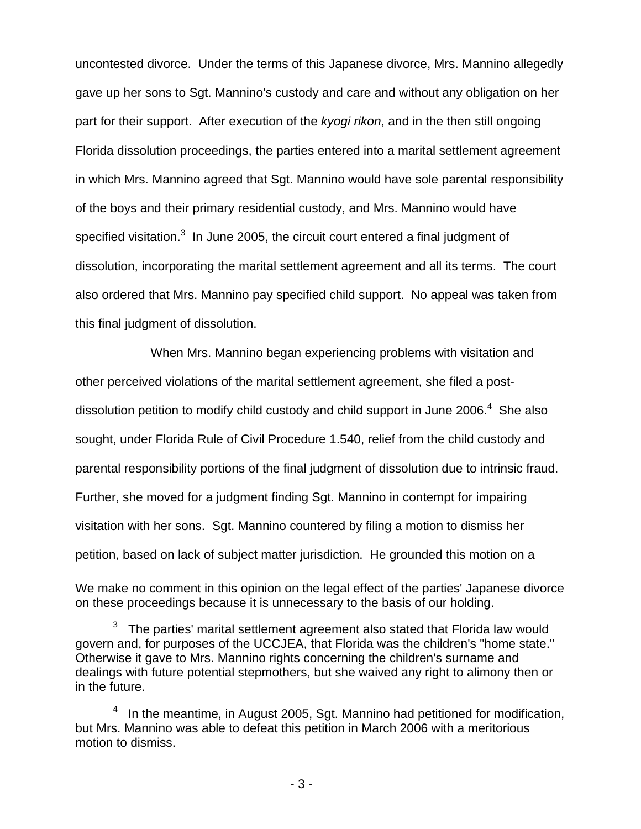uncontested divorce. Under the terms of this Japanese divorce, Mrs. Mannino allegedly gave up her sons to Sgt. Mannino's custody and care and without any obligation on her part for their support. After execution of the *kyogi rikon*, and in the then still ongoing Florida dissolution proceedings, the parties entered into a marital settlement agreement in which Mrs. Mannino agreed that Sgt. Mannino would have sole parental responsibility of the boys and their primary residential custody, and Mrs. Mannino would have specified visitation. $3$  In June 2005, the circuit court entered a final judgment of dissolution, incorporating the marital settlement agreement and all its terms. The court also ordered that Mrs. Mannino pay specified child support. No appeal was taken from this final judgment of dissolution.

 When Mrs. Mannino began experiencing problems with visitation and other perceived violations of the marital settlement agreement, she filed a postdissolution petition to modify child custody and child support in June 2006. $4$  She also sought, under Florida Rule of Civil Procedure 1.540, relief from the child custody and parental responsibility portions of the final judgment of dissolution due to intrinsic fraud. Further, she moved for a judgment finding Sgt. Mannino in contempt for impairing visitation with her sons. Sgt. Mannino countered by filing a motion to dismiss her petition, based on lack of subject matter jurisdiction. He grounded this motion on a

 $\overline{a}$ 

We make no comment in this opinion on the legal effect of the parties' Japanese divorce on these proceedings because it is unnecessary to the basis of our holding.

<sup>3</sup> The parties' marital settlement agreement also stated that Florida law would govern and, for purposes of the UCCJEA, that Florida was the children's "home state." Otherwise it gave to Mrs. Mannino rights concerning the children's surname and dealings with future potential stepmothers, but she waived any right to alimony then or in the future.

 $4$  In the meantime, in August 2005, Sgt. Mannino had petitioned for modification, but Mrs. Mannino was able to defeat this petition in March 2006 with a meritorious motion to dismiss.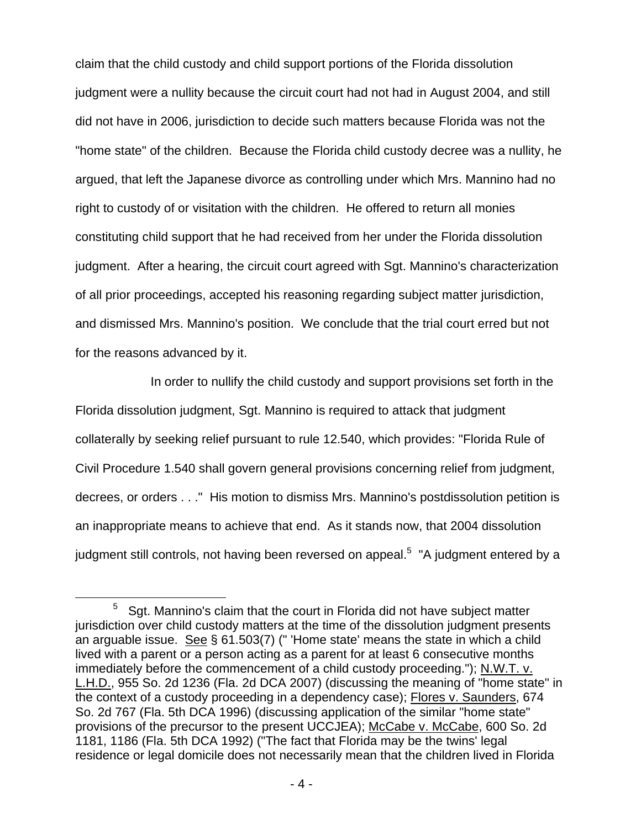claim that the child custody and child support portions of the Florida dissolution judgment were a nullity because the circuit court had not had in August 2004, and still did not have in 2006, jurisdiction to decide such matters because Florida was not the "home state" of the children. Because the Florida child custody decree was a nullity, he argued, that left the Japanese divorce as controlling under which Mrs. Mannino had no right to custody of or visitation with the children. He offered to return all monies constituting child support that he had received from her under the Florida dissolution judgment. After a hearing, the circuit court agreed with Sgt. Mannino's characterization of all prior proceedings, accepted his reasoning regarding subject matter jurisdiction, and dismissed Mrs. Mannino's position. We conclude that the trial court erred but not for the reasons advanced by it.

 In order to nullify the child custody and support provisions set forth in the Florida dissolution judgment, Sgt. Mannino is required to attack that judgment collaterally by seeking relief pursuant to rule 12.540, which provides: "Florida Rule of Civil Procedure 1.540 shall govern general provisions concerning relief from judgment, decrees, or orders . . ." His motion to dismiss Mrs. Mannino's postdissolution petition is an inappropriate means to achieve that end. As it stands now, that 2004 dissolution judgment still controls, not having been reversed on appeal.<sup>5</sup> "A judgment entered by a

 $\frac{1}{5}$  $5$  Sgt. Mannino's claim that the court in Florida did not have subject matter jurisdiction over child custody matters at the time of the dissolution judgment presents an arguable issue. See § 61.503(7) (" 'Home state' means the state in which a child lived with a parent or a person acting as a parent for at least 6 consecutive months immediately before the commencement of a child custody proceeding."); N.W.T. v. L.H.D., 955 So. 2d 1236 (Fla. 2d DCA 2007) (discussing the meaning of "home state" in the context of a custody proceeding in a dependency case); Flores v. Saunders, 674 So. 2d 767 (Fla. 5th DCA 1996) (discussing application of the similar "home state" provisions of the precursor to the present UCCJEA); McCabe v. McCabe, 600 So. 2d 1181, 1186 (Fla. 5th DCA 1992) ("The fact that Florida may be the twins' legal residence or legal domicile does not necessarily mean that the children lived in Florida